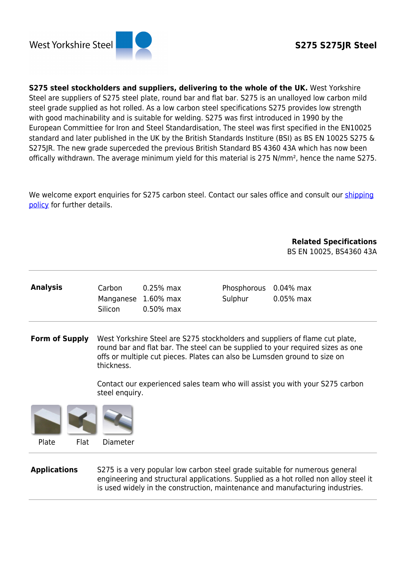

**S275 steel stockholders and suppliers, delivering to the whole of the UK.** West Yorkshire Steel are suppliers of S275 steel plate, round bar and flat bar. S275 is an unalloyed low carbon mild steel grade supplied as hot rolled. As a low carbon steel specifications S275 provides low strength with good machinability and is suitable for welding. S275 was first introduced in 1990 by the European Committiee for Iron and Steel Standardisation, The steel was first specified in the EN10025 standard and later published in the UK by the British Standards Institure (BSI) as BS EN 10025 S275 & S275JR. The new grade superceded the previous British Standard BS 4360 43A which has now been offically withdrawn. The average minimum yield for this material is 275 N/mm², hence the name S275.

We welcome export enquiries for S275 carbon steel. Contact our sales office and consult our [shipping](http://www.westyorkssteel.com/about-us/shipping-policy/) [policy](http://www.westyorkssteel.com/about-us/shipping-policy/) for further details.

> **Related Specifications** BS EN 10025, BS4360 43A

| <b>Analysis</b> | Carbon                                | $0.25\%$ max | Phosphorous 0.04% max |              |
|-----------------|---------------------------------------|--------------|-----------------------|--------------|
|                 | Manganese 1.60% max<br><b>Silicon</b> | $0.50\%$ max | Sulphur               | $0.05\%$ max |
|                 |                                       |              |                       |              |

**Form of Supply** West Yorkshire Steel are S275 stockholders and suppliers of flame cut plate, round bar and flat bar. The steel can be supplied to your required sizes as one offs or multiple cut pieces. Plates can also be Lumsden ground to size on thickness.

> Contact our experienced sales team who will assist you with your S275 carbon steel enquiry.



**Applications** S275 is a very popular low carbon steel grade suitable for numerous general engineering and structural applications. Supplied as a hot rolled non alloy steel it is used widely in the construction, maintenance and manufacturing industries.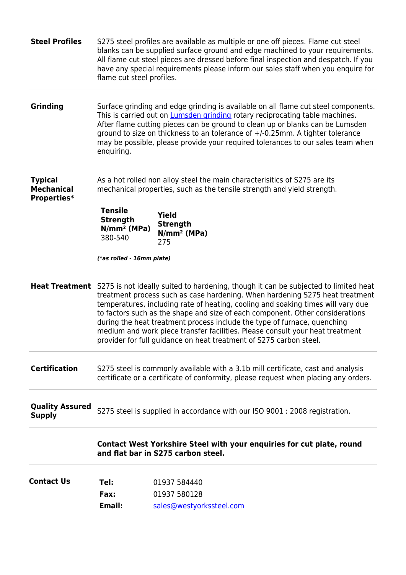| <b>Steel Profiles</b>                              | S275 steel profiles are available as multiple or one off pieces. Flame cut steel<br>blanks can be supplied surface ground and edge machined to your requirements.<br>All flame cut steel pieces are dressed before final inspection and despatch. If you<br>have any special requirements please inform our sales staff when you enquire for<br>flame cut steel profiles.                                                                                                                                                                                                   |                                                                                                                                                                         |  |
|----------------------------------------------------|-----------------------------------------------------------------------------------------------------------------------------------------------------------------------------------------------------------------------------------------------------------------------------------------------------------------------------------------------------------------------------------------------------------------------------------------------------------------------------------------------------------------------------------------------------------------------------|-------------------------------------------------------------------------------------------------------------------------------------------------------------------------|--|
| Grinding                                           | Surface grinding and edge grinding is available on all flame cut steel components.<br>This is carried out on <b>Lumsden grinding</b> rotary reciprocating table machines.<br>After flame cutting pieces can be ground to clean up or blanks can be Lumsden<br>ground to size on thickness to an tolerance of +/-0.25mm. A tighter tolerance<br>may be possible, please provide your required tolerances to our sales team when<br>enquiring.                                                                                                                                |                                                                                                                                                                         |  |
| <b>Typical</b><br><b>Mechanical</b><br>Properties* | As a hot rolled non alloy steel the main characterisitics of S275 are its<br>mechanical properties, such as the tensile strength and yield strength.                                                                                                                                                                                                                                                                                                                                                                                                                        |                                                                                                                                                                         |  |
|                                                    | <b>Tensile</b><br><b>Strength</b><br>$N/mm^2$ (MPa)<br>380-540                                                                                                                                                                                                                                                                                                                                                                                                                                                                                                              | <b>Yield</b><br><b>Strength</b><br>$N/mm^2$ (MPa)<br>275                                                                                                                |  |
|                                                    | (*as rolled - 16mm plate)                                                                                                                                                                                                                                                                                                                                                                                                                                                                                                                                                   |                                                                                                                                                                         |  |
| <b>Heat Treatment</b>                              | S275 is not ideally suited to hardening, though it can be subjected to limited heat<br>treatment process such as case hardening. When hardening S275 heat treatment<br>temperatures, including rate of heating, cooling and soaking times will vary due<br>to factors such as the shape and size of each component. Other considerations<br>during the heat treatment process include the type of furnace, quenching<br>medium and work piece transfer facilities. Please consult your heat treatment<br>provider for full guidance on heat treatment of S275 carbon steel. |                                                                                                                                                                         |  |
| <b>Certification</b>                               |                                                                                                                                                                                                                                                                                                                                                                                                                                                                                                                                                                             | S275 steel is commonly available with a 3.1b mill certificate, cast and analysis<br>certificate or a certificate of conformity, please request when placing any orders. |  |
| <b>Quality Assured</b><br><b>Supply</b>            |                                                                                                                                                                                                                                                                                                                                                                                                                                                                                                                                                                             | S275 steel is supplied in accordance with our ISO 9001 : 2008 registration.                                                                                             |  |
|                                                    |                                                                                                                                                                                                                                                                                                                                                                                                                                                                                                                                                                             | Contact West Yorkshire Steel with your enquiries for cut plate, round<br>and flat bar in S275 carbon steel.                                                             |  |
| <b>Contact Us</b>                                  | Tel:<br>Fax:<br>Email:                                                                                                                                                                                                                                                                                                                                                                                                                                                                                                                                                      | 01937 584440<br>01937 580128<br>sales@westyorkssteel.com                                                                                                                |  |